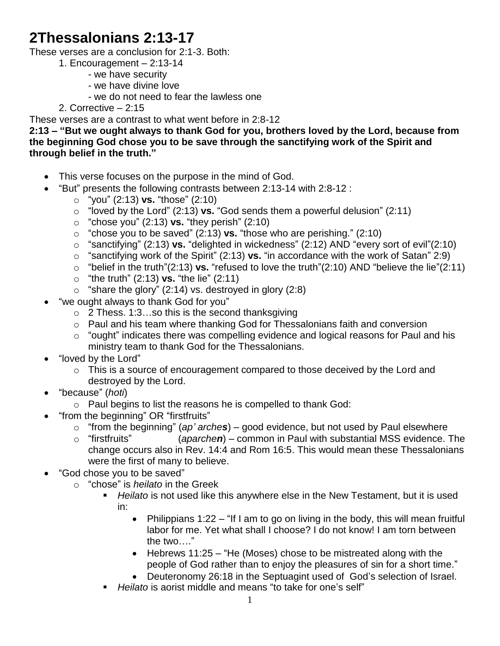# **2Thessalonians 2:13-17**

These verses are a conclusion for 2:1-3. Both:

- 1. Encouragement 2:13-14
	- we have security
	- we have divine love
	- we do not need to fear the lawless one

## 2. Corrective – 2:15

These verses are a contrast to what went before in 2:8-12

**2:13 – "But we ought always to thank God for you, brothers loved by the Lord, because from the beginning God chose you to be save through the sanctifying work of the Spirit and through belief in the truth."**

- This verse focuses on the purpose in the mind of God.
- "But" presents the following contrasts between 2:13-14 with 2:8-12 :
	- o "you" (2:13) **vs.** "those" (2:10)
	- o "loved by the Lord" (2:13) **vs.** "God sends them a powerful delusion" (2:11)
	- o "chose you" (2:13) **vs.** "they perish" (2:10)
	- o "chose you to be saved" (2:13) **vs.** "those who are perishing." (2:10)
	- o "sanctifying" (2:13) **vs.** "delighted in wickedness" (2:12) AND "every sort of evil"(2:10)
	- o "sanctifying work of the Spirit" (2:13) **vs.** "in accordance with the work of Satan" 2:9)
	- o "belief in the truth"(2:13) **vs.** "refused to love the truth"(2:10) AND "believe the lie"(2:11)
	- o "the truth" (2:13) **vs.** "the lie" (2:11)
	- $\circ$  "share the glory" (2:14) vs. destroyed in glory (2:8)
- "we ought always to thank God for you"
	- $\circ$  2 Thess. 1:3...so this is the second thanksgiving
	- o Paul and his team where thanking God for Thessalonians faith and conversion
	- $\circ$  "ought" indicates there was compelling evidence and logical reasons for Paul and his ministry team to thank God for the Thessalonians.
- "loved by the Lord"
	- o This is a source of encouragement compared to those deceived by the Lord and destroyed by the Lord.
- "because" (*hoti*)
	- o Paul begins to list the reasons he is compelled to thank God:
- "from the beginning" OR "firstfruits"
	- o "from the beginning" (*ap' arches*) good evidence, but not used by Paul elsewhere
	- o "firstfruits" (*aparchen*) common in Paul with substantial MSS evidence. The change occurs also in Rev. 14:4 and Rom 16:5. This would mean these Thessalonians were the first of many to believe.
- "God chose you to be saved"
	- o "chose" is *heilato* in the Greek
		- *Heilato* is not used like this anywhere else in the New Testament, but it is used in:
			- Philippians 1:22 "If I am to go on living in the body, this will mean fruitful labor for me. Yet what shall I choose? I do not know! I am torn between the two…."
			- Hebrews 11:25 "He (Moses) chose to be mistreated along with the people of God rather than to enjoy the pleasures of sin for a short time."
			- Deuteronomy 26:18 in the Septuagint used of God's selection of Israel.
		- *Heilato* is aorist middle and means "to take for one's self"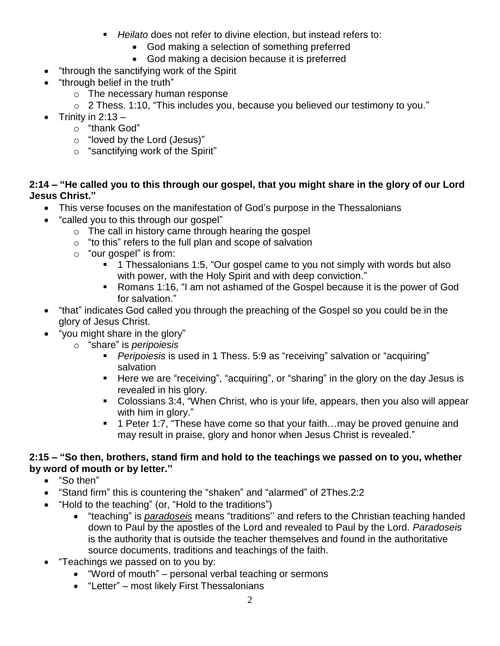- *Heilato* does not refer to divine election, but instead refers to:
	- God making a selection of something preferred
	- God making a decision because it is preferred
- "through the sanctifying work of the Spirit
- "through belief in the truth"
	- o The necessary human response
	- o 2 Thess. 1:10, "This includes you, because you believed our testimony to you."
- Trinity in  $2:13$ 
	- o "thank God"
	- o "loved by the Lord (Jesus)"
	- o "sanctifying work of the Spirit"

### **2:14 – "He called you to this through our gospel, that you might share in the glory of our Lord Jesus Christ."**

- This verse focuses on the manifestation of God's purpose in the Thessalonians
- "called you to this through our gospel"
	- o The call in history came through hearing the gospel
	- o "to this" refers to the full plan and scope of salvation
	- o "our gospel" is from:
		- **1** Thessalonians 1:5, "Our gospel came to you not simply with words but also with power, with the Holy Spirit and with deep conviction."
		- Romans 1:16, "I am not ashamed of the Gospel because it is the power of God for salvation."
- "that" indicates God called you through the preaching of the Gospel so you could be in the glory of Jesus Christ.
- "you might share in the glory"
	- o "share" is *peripoiesis*
		- *Peripoiesis* is used in 1 Thess. 5:9 as "receiving" salvation or "acquiring" salvation
		- **Here we are "receiving", "acquiring", or "sharing" in the glory on the day Jesus is** revealed in his glory.
		- Colossians 3:4, "When Christ, who is your life, appears, then you also will appear with him in glory."
		- 1 Peter 1:7, "These have come so that your faith...may be proved genuine and may result in praise, glory and honor when Jesus Christ is revealed."

## **2:15 – "So then, brothers, stand firm and hold to the teachings we passed on to you, whether by word of mouth or by letter."**

- "So then"
- "Stand firm" this is countering the "shaken" and "alarmed" of 2Thes.2:2
- "Hold to the teaching" (or, "Hold to the traditions")
	- "teaching" is *paradoseis* means "traditions'' and refers to the Christian teaching handed down to Paul by the apostles of the Lord and revealed to Paul by the Lord. *Paradoseis* is the authority that is outside the teacher themselves and found in the authoritative source documents, traditions and teachings of the faith.
- "Teachings we passed on to you by:
	- "Word of mouth" personal verbal teaching or sermons
	- "Letter" most likely First Thessalonians